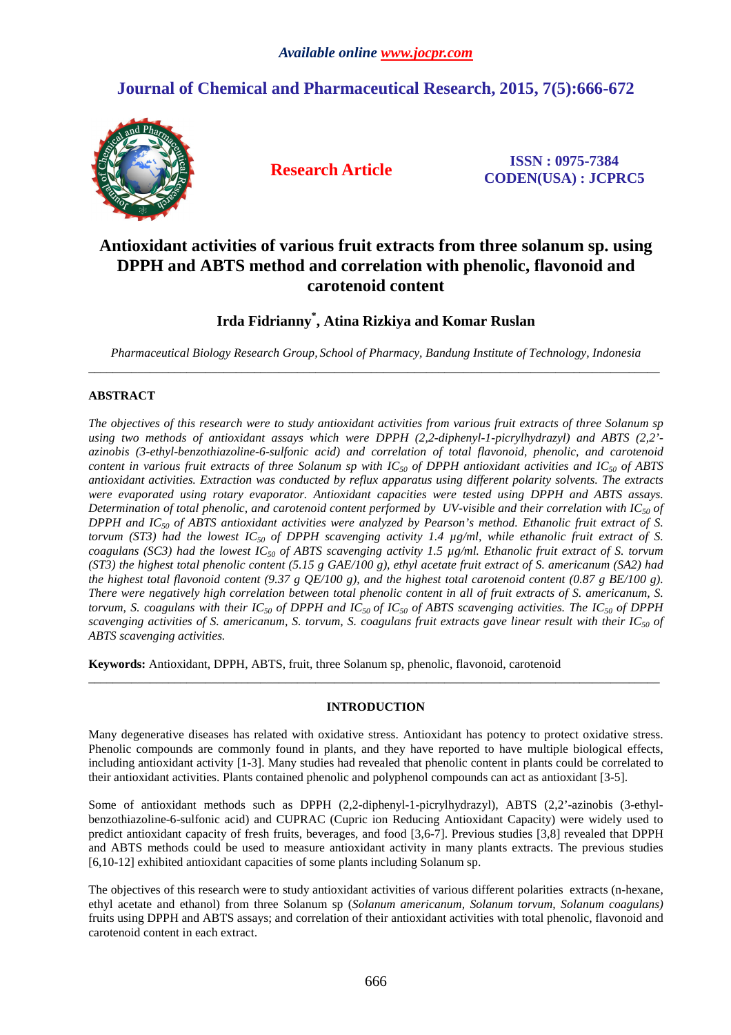# **Journal of Chemical and Pharmaceutical Research, 2015, 7(5):666-672**



**Research Article ISSN : 0975-7384 CODEN(USA) : JCPRC5**

## **Antioxidant activities of various fruit extracts from three solanum sp. using DPPH and ABTS method and correlation with phenolic, flavonoid and carotenoid content**

### **Irda Fidrianny\* , Atina Rizkiya and Komar Ruslan**

*Pharmaceutical Biology Research Group, School of Pharmacy, Bandung Institute of Technology, Indonesia*   $\overline{a}$  , and the contribution of the contribution of the contribution of the contribution of the contribution of the contribution of the contribution of the contribution of the contribution of the contribution of the co

### **ABSTRACT**

*The objectives of this research were to study antioxidant activities from various fruit extracts of three Solanum sp using two methods of antioxidant assays which were DPPH (2,2-diphenyl-1-picrylhydrazyl) and ABTS (2,2' azinobis (3-ethyl-benzothiazoline-6-sulfonic acid) and correlation of total flavonoid, phenolic, and carotenoid content in various fruit extracts of three Solanum sp with*  $IC_{50}$  *of DPPH antioxidant activities and*  $IC_{50}$  *of ABTS antioxidant activities. Extraction was conducted by reflux apparatus using different polarity solvents. The extracts were evaporated using rotary evaporator. Antioxidant capacities were tested using DPPH and ABTS assays. Determination of total phenolic, and carotenoid content performed by UV-visible and their correlation with IC50 of DPPH and IC50 of ABTS antioxidant activities were analyzed by Pearson's method. Ethanolic fruit extract of S. torvum (ST3) had the lowest IC50 of DPPH scavenging activity 1.4 µg/ml, while ethanolic fruit extract of S. coagulans (SC3) had the lowest IC50 of ABTS scavenging activity 1.5 µg/ml. Ethanolic fruit extract of S. torvum (ST3) the highest total phenolic content (5.15 g GAE/100 g), ethyl acetate fruit extract of S. americanum (SA2) had the highest total flavonoid content (9.37 g QE/100 g), and the highest total carotenoid content (0.87 g BE/100 g). There were negatively high correlation between total phenolic content in all of fruit extracts of S. americanum, S. torvum, S. coagulans with their IC50 of DPPH and IC50 of IC50 of ABTS scavenging activities. The IC50 of DPPH scavenging activities of S. americanum, S. torvum, S. coagulans fruit extracts gave linear result with their IC50 of ABTS scavenging activities.* 

**Keywords:** Antioxidant, DPPH, ABTS, fruit, three Solanum sp, phenolic, flavonoid, carotenoid

### **INTRODUCTION**

\_\_\_\_\_\_\_\_\_\_\_\_\_\_\_\_\_\_\_\_\_\_\_\_\_\_\_\_\_\_\_\_\_\_\_\_\_\_\_\_\_\_\_\_\_\_\_\_\_\_\_\_\_\_\_\_\_\_\_\_\_\_\_\_\_\_\_\_\_\_\_\_\_\_\_\_\_\_\_\_\_\_\_\_\_\_\_\_\_\_\_\_\_

Many degenerative diseases has related with oxidative stress. Antioxidant has potency to protect oxidative stress. Phenolic compounds are commonly found in plants, and they have reported to have multiple biological effects, including antioxidant activity [1-3]. Many studies had revealed that phenolic content in plants could be correlated to their antioxidant activities. Plants contained phenolic and polyphenol compounds can act as antioxidant [3-5].

Some of antioxidant methods such as DPPH (2,2-diphenyl-1-picrylhydrazyl), ABTS (2,2'-azinobis (3-ethylbenzothiazoline-6-sulfonic acid) and CUPRAC (Cupric ion Reducing Antioxidant Capacity) were widely used to predict antioxidant capacity of fresh fruits, beverages, and food [3,6-7]. Previous studies [3,8] revealed that DPPH and ABTS methods could be used to measure antioxidant activity in many plants extracts. The previous studies [6,10-12] exhibited antioxidant capacities of some plants including Solanum sp.

The objectives of this research were to study antioxidant activities of various different polarities extracts (n-hexane, ethyl acetate and ethanol) from three Solanum sp (*Solanum americanum, Solanum torvum, Solanum coagulans)* fruits using DPPH and ABTS assays; and correlation of their antioxidant activities with total phenolic, flavonoid and carotenoid content in each extract.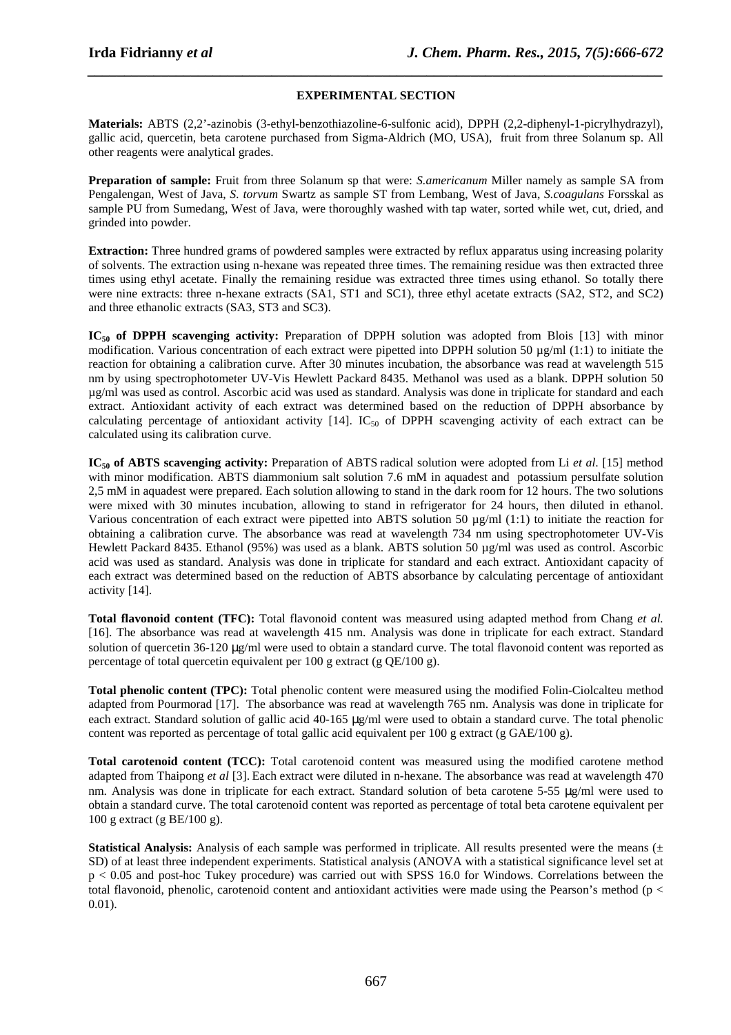## *\_\_\_\_\_\_\_\_\_\_\_\_\_\_\_\_\_\_\_\_\_\_\_\_\_\_\_\_\_\_\_\_\_\_\_\_\_\_\_\_\_\_\_\_\_\_\_\_\_\_\_\_\_\_\_\_\_\_\_\_\_\_\_\_\_\_\_\_\_\_\_\_\_\_\_\_\_\_* **EXPERIMENTAL SECTION**

**Materials:** ABTS (2,2'-azinobis (3-ethyl-benzothiazoline-6-sulfonic acid), DPPH (2,2-diphenyl-1-picrylhydrazyl), gallic acid, quercetin, beta carotene purchased from Sigma-Aldrich (MO, USA), fruit from three Solanum sp. All other reagents were analytical grades.

**Preparation of sample:** Fruit from three Solanum sp that were: *S.americanum* Miller namely as sample SA from Pengalengan, West of Java, *S. torvum* Swartz as sample ST from Lembang, West of Java, *S.coagulans* Forsskal as sample PU from Sumedang, West of Java, were thoroughly washed with tap water, sorted while wet, cut, dried, and grinded into powder.

**Extraction:** Three hundred grams of powdered samples were extracted by reflux apparatus using increasing polarity of solvents. The extraction using n-hexane was repeated three times. The remaining residue was then extracted three times using ethyl acetate. Finally the remaining residue was extracted three times using ethanol. So totally there were nine extracts: three n-hexane extracts (SA1, ST1 and SC1), three ethyl acetate extracts (SA2, ST2, and SC2) and three ethanolic extracts (SA3, ST3 and SC3).

**IC**<sub>50</sub> of DPPH scavenging activity: Preparation of DPPH solution was adopted from Blois [13] with minor modification. Various concentration of each extract were pipetted into DPPH solution 50 µg/ml (1:1) to initiate the reaction for obtaining a calibration curve. After 30 minutes incubation, the absorbance was read at wavelength 515 nm by using spectrophotometer UV-Vis Hewlett Packard 8435. Methanol was used as a blank. DPPH solution 50 µg/ml was used as control. Ascorbic acid was used as standard. Analysis was done in triplicate for standard and each extract. Antioxidant activity of each extract was determined based on the reduction of DPPH absorbance by calculating percentage of antioxidant activity  $[14]$ . IC<sub>50</sub> of DPPH scavenging activity of each extract can be calculated using its calibration curve.

**IC**<sub>50</sub> of ABTS scavenging activity: Preparation of ABTS radical solution were adopted from Li *et al.* [15] method with minor modification. ABTS diammonium salt solution 7.6 mM in aquadest and potassium persulfate solution 2,5 mM in aquadest were prepared. Each solution allowing to stand in the dark room for 12 hours. The two solutions were mixed with 30 minutes incubation, allowing to stand in refrigerator for 24 hours, then diluted in ethanol. Various concentration of each extract were pipetted into ABTS solution 50  $\mu$ g/ml (1:1) to initiate the reaction for obtaining a calibration curve. The absorbance was read at wavelength 734 nm using spectrophotometer UV-Vis Hewlett Packard 8435. Ethanol (95%) was used as a blank. ABTS solution 50 µg/ml was used as control. Ascorbic acid was used as standard. Analysis was done in triplicate for standard and each extract. Antioxidant capacity of each extract was determined based on the reduction of ABTS absorbance by calculating percentage of antioxidant activity [14].

**Total flavonoid content (TFC):** Total flavonoid content was measured using adapted method from Chang *et al.*  [16]. The absorbance was read at wavelength 415 nm. Analysis was done in triplicate for each extract. Standard solution of quercetin 36-120 µg/ml were used to obtain a standard curve. The total flavonoid content was reported as percentage of total quercetin equivalent per 100 g extract (g QE/100 g).

**Total phenolic content (TPC):** Total phenolic content were measured using the modified Folin-Ciolcalteu method adapted from Pourmorad [17]. The absorbance was read at wavelength 765 nm. Analysis was done in triplicate for each extract. Standard solution of gallic acid 40-165  $\mu$ g/ml were used to obtain a standard curve. The total phenolic content was reported as percentage of total gallic acid equivalent per 100 g extract (g GAE/100 g).

**Total carotenoid content (TCC):** Total carotenoid content was measured using the modified carotene method adapted from Thaipong *et al* [3]. Each extract were diluted in n-hexane. The absorbance was read at wavelength 470 nm. Analysis was done in triplicate for each extract. Standard solution of beta carotene 5-55  $\mu$ g/ml were used to obtain a standard curve. The total carotenoid content was reported as percentage of total beta carotene equivalent per 100 g extract (g BE/100 g).

**Statistical Analysis:** Analysis of each sample was performed in triplicate. All results presented were the means ( $\pm$ SD) of at least three independent experiments. Statistical analysis (ANOVA with a statistical significance level set at p < 0.05 and post-hoc Tukey procedure) was carried out with SPSS 16.0 for Windows. Correlations between the total flavonoid, phenolic, carotenoid content and antioxidant activities were made using the Pearson's method ( $p <$ 0.01).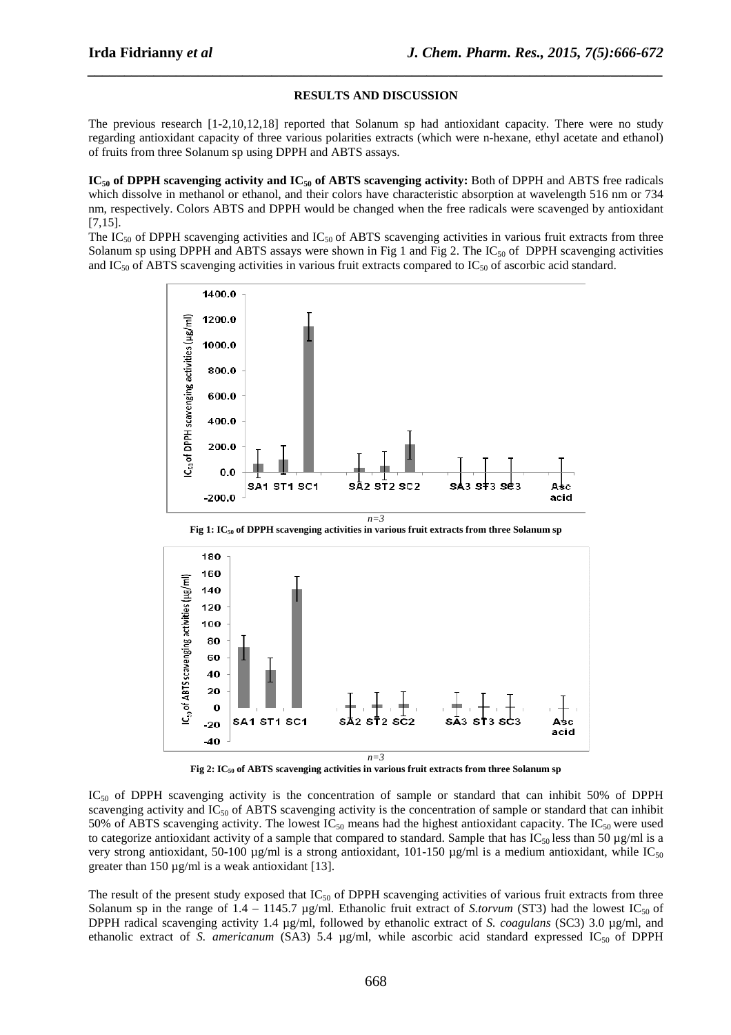#### **RESULTS AND DISCUSSION**

*\_\_\_\_\_\_\_\_\_\_\_\_\_\_\_\_\_\_\_\_\_\_\_\_\_\_\_\_\_\_\_\_\_\_\_\_\_\_\_\_\_\_\_\_\_\_\_\_\_\_\_\_\_\_\_\_\_\_\_\_\_\_\_\_\_\_\_\_\_\_\_\_\_\_\_\_\_\_*

The previous research [1-2,10,12,18] reported that Solanum sp had antioxidant capacity. There were no study regarding antioxidant capacity of three various polarities extracts (which were n-hexane, ethyl acetate and ethanol) of fruits from three Solanum sp using DPPH and ABTS assays.

**IC50 of DPPH scavenging activity and IC50 of ABTS scavenging activity:** Both of DPPH and ABTS free radicals which dissolve in methanol or ethanol, and their colors have characteristic absorption at wavelength 516 nm or 734 nm, respectively. Colors ABTS and DPPH would be changed when the free radicals were scavenged by antioxidant [7,15].

The IC<sub>50</sub> of DPPH scavenging activities and IC<sub>50</sub> of ABTS scavenging activities in various fruit extracts from three Solanum sp using DPPH and ABTS assays were shown in Fig 1 and Fig 2. The IC<sub>50</sub> of DPPH scavenging activities and IC<sub>50</sub> of ABTS scavenging activities in various fruit extracts compared to IC<sub>50</sub> of ascorbic acid standard.



**Fig 1: IC50 of DPPH scavenging activities in various fruit extracts from three Solanum sp** 



**Fig 2: IC50 of ABTS scavenging activities in various fruit extracts from three Solanum sp** 

 $IC_{50}$  of DPPH scavenging activity is the concentration of sample or standard that can inhibit 50% of DPPH scavenging activity and  $IC_{50}$  of ABTS scavenging activity is the concentration of sample or standard that can inhibit 50% of ABTS scavenging activity. The lowest  $IC_{50}$  means had the highest antioxidant capacity. The  $IC_{50}$  were used to categorize antioxidant activity of a sample that compared to standard. Sample that has  $IC_{50}$  less than 50  $\mu$ g/ml is a very strong antioxidant, 50-100  $\mu$ g/ml is a strong antioxidant, 101-150  $\mu$ g/ml is a medium antioxidant, while IC<sub>50</sub> greater than 150  $\mu$ g/ml is a weak antioxidant [13].

The result of the present study exposed that  $IC_{50}$  of DPPH scavenging activities of various fruit extracts from three Solanum sp in the range of  $1.4 - 1145.7 \mu g/ml$ . Ethanolic fruit extract of *S.torvum* (ST3) had the lowest IC<sub>50</sub> of DPPH radical scavenging activity 1.4 µg/ml, followed by ethanolic extract of *S. coagulans* (SC3) 3.0 µg/ml, and ethanolic extract of *S. americanum* (SA3) 5.4  $\mu$ g/ml, while ascorbic acid standard expressed IC<sub>50</sub> of DPPH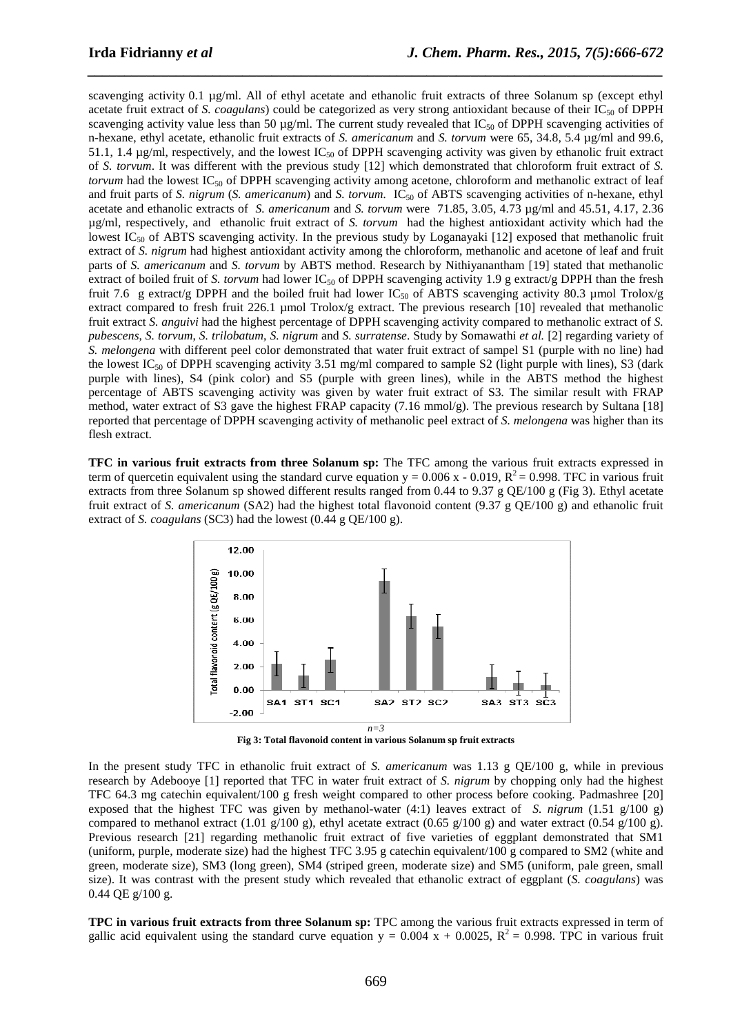scavenging activity 0.1 µg/ml. All of ethyl acetate and ethanolic fruit extracts of three Solanum sp (except ethyl acetate fruit extract of *S. coagulans*) could be categorized as very strong antioxidant because of their IC<sub>50</sub> of DPPH scavenging activity value less than 50  $\mu$ g/ml. The current study revealed that IC<sub>50</sub> of DPPH scavenging activities of n-hexane, ethyl acetate, ethanolic fruit extracts of *S. americanum* and *S. torvum* were 65, 34.8, 5.4 µg/ml and 99.6, 51.1, 1.4  $\mu$ g/ml, respectively, and the lowest IC<sub>50</sub> of DPPH scavenging activity was given by ethanolic fruit extract of *S. torvum*. It was different with the previous study [12] which demonstrated that chloroform fruit extract of *S. torvum* had the lowest IC<sub>50</sub> of DPPH scavenging activity among acetone, chloroform and methanolic extract of leaf and fruit parts of *S. nigrum* (*S. americanum*) and *S. torvum.* IC<sub>50</sub> of ABTS scavenging activities of n-hexane, ethyl acetate and ethanolic extracts of *S. americanum* and *S. torvum* were 71.85, 3.05, 4.73 µg/ml and 45.51, 4.17, 2.36 µg/ml, respectively, and ethanolic fruit extract of *S. torvum* had the highest antioxidant activity which had the lowest IC<sub>50</sub> of ABTS scavenging activity. In the previous study by Loganayaki  $[12]$  exposed that methanolic fruit extract of *S. nigrum* had highest antioxidant activity among the chloroform, methanolic and acetone of leaf and fruit parts of *S. americanum* and *S. torvum* by ABTS method. Research by Nithiyanantham [19] stated that methanolic extract of boiled fruit of *S. torvum* had lower IC<sub>50</sub> of DPPH scavenging activity 1.9 g extract/g DPPH than the fresh fruit 7.6 g extract/g DPPH and the boiled fruit had lower IC<sub>50</sub> of ABTS scavenging activity 80.3 µmol Trolox/g extract compared to fresh fruit 226.1 µmol Trolox/g extract. The previous research [10] revealed that methanolic fruit extract *S. anguivi* had the highest percentage of DPPH scavenging activity compared to methanolic extract of *S. pubescens*, *S. torvum*, *S. trilobatum*, *S. nigrum* and *S. surratense*. Study by Somawathi *et al.* [2] regarding variety of *S. melongena* with different peel color demonstrated that water fruit extract of sampel S1 (purple with no line) had the lowest IC<sub>50</sub> of DPPH scavenging activity 3.51 mg/ml compared to sample S2 (light purple with lines), S3 (dark purple with lines), S4 (pink color) and S5 (purple with green lines), while in the ABTS method the highest percentage of ABTS scavenging activity was given by water fruit extract of S3*.* The similar result with FRAP method, water extract of S3 gave the highest FRAP capacity (7.16 mmol/g). The previous research by Sultana [18] reported that percentage of DPPH scavenging activity of methanolic peel extract of *S. melongena* was higher than its flesh extract.

*\_\_\_\_\_\_\_\_\_\_\_\_\_\_\_\_\_\_\_\_\_\_\_\_\_\_\_\_\_\_\_\_\_\_\_\_\_\_\_\_\_\_\_\_\_\_\_\_\_\_\_\_\_\_\_\_\_\_\_\_\_\_\_\_\_\_\_\_\_\_\_\_\_\_\_\_\_\_*

**TFC in various fruit extracts from three Solanum sp:** The TFC among the various fruit extracts expressed in term of quercetin equivalent using the standard curve equation  $y = 0.006$  x - 0.019,  $R^2 = 0.998$ . TFC in various fruit extracts from three Solanum sp showed different results ranged from 0.44 to 9.37 g QE/100 g (Fig 3). Ethyl acetate fruit extract of *S. americanum* (SA2) had the highest total flavonoid content (9.37 g QE/100 g) and ethanolic fruit extract of *S. coagulans* (SC3) had the lowest (0.44 g QE/100 g).



**Fig 3: Total flavonoid content in various Solanum sp fruit extracts**

In the present study TFC in ethanolic fruit extract of *S. americanum* was 1.13 g QE/100 g, while in previous research by Adebooye [1] reported that TFC in water fruit extract of *S. nigrum* by chopping only had the highest TFC 64.3 mg catechin equivalent/100 g fresh weight compared to other process before cooking. Padmashree [20] exposed that the highest TFC was given by methanol-water (4:1) leaves extract of *S. nigrum* (1.51 g/100 g) compared to methanol extract (1.01 g/100 g), ethyl acetate extract (0.65 g/100 g) and water extract (0.54 g/100 g). Previous research [21] regarding methanolic fruit extract of five varieties of eggplant demonstrated that SM1 (uniform, purple, moderate size) had the highest TFC 3.95 g catechin equivalent/100 g compared to SM2 (white and green, moderate size), SM3 (long green), SM4 (striped green, moderate size) and SM5 (uniform, pale green, small size). It was contrast with the present study which revealed that ethanolic extract of eggplant (*S. coagulans*) was 0.44 QE g/100 g.

**TPC in various fruit extracts from three Solanum sp:** TPC among the various fruit extracts expressed in term of gallic acid equivalent using the standard curve equation  $y = 0.004 x + 0.0025$ ,  $R^2 = 0.998$ . TPC in various fruit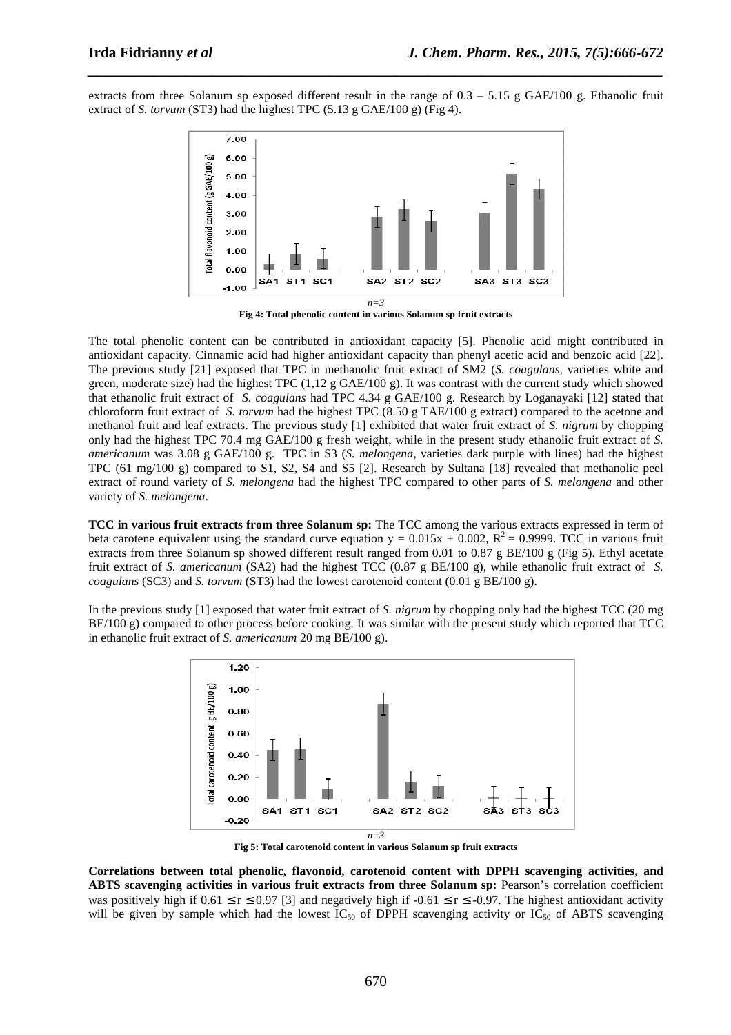extracts from three Solanum sp exposed different result in the range of  $0.3 - 5.15$  g GAE/100 g. Ethanolic fruit extract of *S. torvum* (ST3) had the highest TPC (5.13 g GAE/100 g) (Fig 4).

*\_\_\_\_\_\_\_\_\_\_\_\_\_\_\_\_\_\_\_\_\_\_\_\_\_\_\_\_\_\_\_\_\_\_\_\_\_\_\_\_\_\_\_\_\_\_\_\_\_\_\_\_\_\_\_\_\_\_\_\_\_\_\_\_\_\_\_\_\_\_\_\_\_\_\_\_\_\_*



**Fig 4: Total phenolic content in various Solanum sp fruit extracts** 

The total phenolic content can be contributed in antioxidant capacity [5]. Phenolic acid might contributed in antioxidant capacity. Cinnamic acid had higher antioxidant capacity than phenyl acetic acid and benzoic acid [22]. The previous study [21] exposed that TPC in methanolic fruit extract of SM2 (*S. coagulans,* varieties white and green, moderate size) had the highest TPC  $(1,12 \text{ g } \text{GAE}/100 \text{ g})$ . It was contrast with the current study which showed that ethanolic fruit extract of *S. coagulans* had TPC 4.34 g GAE/100 g. Research by Loganayaki [12] stated that chloroform fruit extract of *S. torvum* had the highest TPC (8.50 g TAE/100 g extract) compared to the acetone and methanol fruit and leaf extracts. The previous study [1] exhibited that water fruit extract of *S. nigrum* by chopping only had the highest TPC 70.4 mg GAE/100 g fresh weight, while in the present study ethanolic fruit extract of *S. americanum* was 3.08 g GAE/100 g. TPC in S3 (*S. melongena*, varieties dark purple with lines) had the highest TPC (61 mg/100 g) compared to S1, S2, S4 and S5 [2]. Research by Sultana [18] revealed that methanolic peel extract of round variety of *S. melongena* had the highest TPC compared to other parts of *S. melongena* and other variety of *S. melongena*.

**TCC in various fruit extracts from three Solanum sp:** The TCC among the various extracts expressed in term of beta carotene equivalent using the standard curve equation  $y = 0.015x + 0.002$ ,  $R^2 = 0.9999$ . TCC in various fruit extracts from three Solanum sp showed different result ranged from 0.01 to 0.87 g BE/100 g (Fig 5). Ethyl acetate fruit extract of *S. americanum* (SA2) had the highest TCC (0.87 g BE/100 g), while ethanolic fruit extract of *S. coagulans* (SC3) and *S. torvum* (ST3) had the lowest carotenoid content (0.01 g BE/100 g).

In the previous study [1] exposed that water fruit extract of *S. nigrum* by chopping only had the highest TCC (20 mg BE/100 g) compared to other process before cooking. It was similar with the present study which reported that TCC in ethanolic fruit extract of *S. americanum* 20 mg BE/100 g).



**Fig 5: Total carotenoid content in various Solanum sp fruit extracts** 

**Correlations between total phenolic, flavonoid, carotenoid content with DPPH scavenging activities, and ABTS scavenging activities in various fruit extracts from three Solanum sp:** Pearson's correlation coefficient was positively high if  $0.61 \le r \le 0.97$  [3] and negatively high if  $-0.61 \le r \le -0.97$ . The highest antioxidant activity will be given by sample which had the lowest IC<sub>50</sub> of DPPH scavenging activity or IC<sub>50</sub> of ABTS scavenging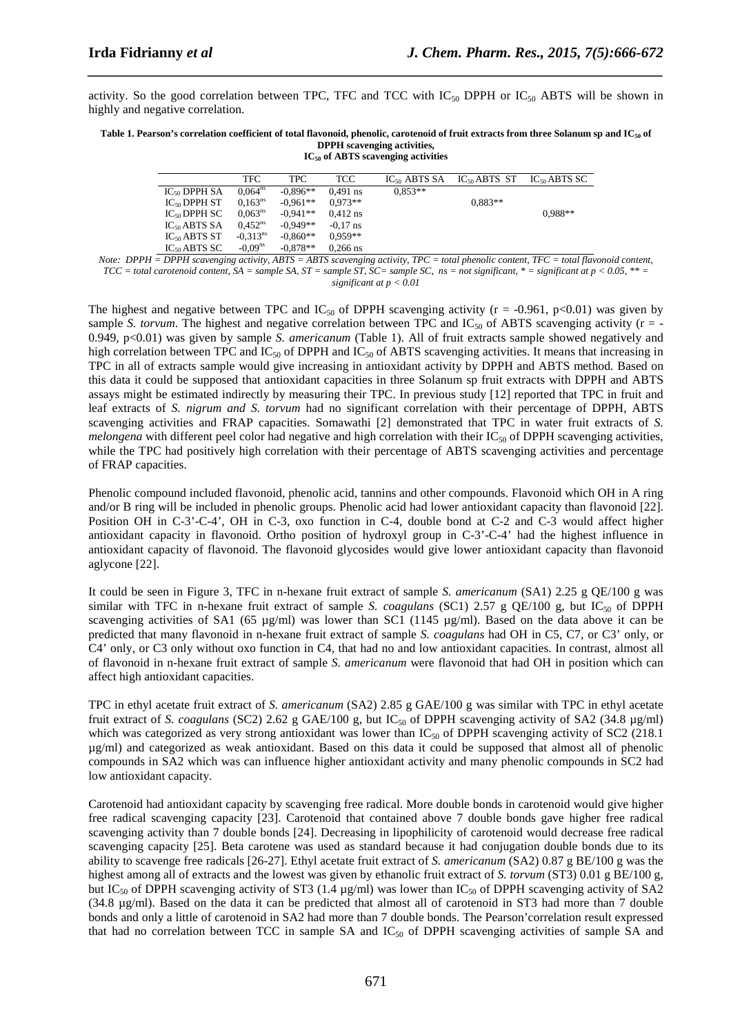activity. So the good correlation between TPC, TFC and TCC with  $IC_{50}$  DPPH or  $IC_{50}$  ABTS will be shown in highly and negative correlation.

*\_\_\_\_\_\_\_\_\_\_\_\_\_\_\_\_\_\_\_\_\_\_\_\_\_\_\_\_\_\_\_\_\_\_\_\_\_\_\_\_\_\_\_\_\_\_\_\_\_\_\_\_\_\_\_\_\_\_\_\_\_\_\_\_\_\_\_\_\_\_\_\_\_\_\_\_\_\_*

#### **Table 1. Pearson's correlation coefficient of total flavonoid, phenolic, carotenoid of fruit extracts from three Solanum sp and IC50 of DPPH scavenging activities, IC50 of ABTS scavenging activities**

|                   | TFC.                 | TPC.       | TCC.       | $IC_{50}$ ABTS SA | $IC_{50}$ ABTS ST | $IC_{50}$ ABTS SC |
|-------------------|----------------------|------------|------------|-------------------|-------------------|-------------------|
| $IC_{50}$ DPPH SA | $0.064^{ns}$         | $-0.896**$ | $0.491$ ns | $0.853**$         |                   |                   |
| $IC_{50}$ DPPH ST | 0.163 <sup>ns</sup>  | $-0.961**$ | $0.973**$  |                   | $0.883**$         |                   |
| $IC_{50}$ DPPH SC | $0.063^{ns}$         | $-0.941**$ | $0.412$ ns |                   |                   | $0.988**$         |
| $IC_{50}$ ABTS SA | $0.452^{ns}$         | $-0.949**$ | $-0.17$ ns |                   |                   |                   |
| $IC_{50}$ ABTS ST | $-0.313^{\text{ns}}$ | $-0.860**$ | $0.959**$  |                   |                   |                   |
| $IC_{50}$ ABTS SC | $-0.09ns$            | $-0.878**$ | $0.266$ ns |                   |                   |                   |

*Note: DPPH = DPPH scavenging activity, ABTS =*  $\overline{ABTS}$  *scavenging activity, TPC = total phenolic content, TFC = total flavonoid content, TCC = total carotenoid content, SA = sample SA, ST = sample ST, SC= sample SC, ns = not significant, \* = significant at p < 0.05, \*\* = significant at p < 0.01* 

The highest and negative between TPC and  $IC_{50}$  of DPPH scavenging activity (r = -0.961, p<0.01) was given by sample *S. torvum*. The highest and negative correlation between TPC and  $IC_{50}$  of ABTS scavenging activity ( $r = -$ 0.949, p<0.01) was given by sample *S. americanum* (Table 1). All of fruit extracts sample showed negatively and high correlation between TPC and  $IC_{50}$  of DPPH and  $IC_{50}$  of ABTS scavenging activities. It means that increasing in TPC in all of extracts sample would give increasing in antioxidant activity by DPPH and ABTS method. Based on this data it could be supposed that antioxidant capacities in three Solanum sp fruit extracts with DPPH and ABTS assays might be estimated indirectly by measuring their TPC. In previous study [12] reported that TPC in fruit and leaf extracts of *S. nigrum and S. torvum* had no significant correlation with their percentage of DPPH, ABTS scavenging activities and FRAP capacities. Somawathi [2] demonstrated that TPC in water fruit extracts of *S. melongena* with different peel color had negative and high correlation with their  $IC_{50}$  of DPPH scavenging activities, while the TPC had positively high correlation with their percentage of ABTS scavenging activities and percentage of FRAP capacities.

Phenolic compound included flavonoid, phenolic acid, tannins and other compounds. Flavonoid which OH in A ring and/or B ring will be included in phenolic groups. Phenolic acid had lower antioxidant capacity than flavonoid [22]. Position OH in C-3'-C-4', OH in C-3, oxo function in C-4, double bond at C-2 and C-3 would affect higher antioxidant capacity in flavonoid. Ortho position of hydroxyl group in C-3'-C-4' had the highest influence in antioxidant capacity of flavonoid. The flavonoid glycosides would give lower antioxidant capacity than flavonoid aglycone [22].

It could be seen in Figure 3, TFC in n-hexane fruit extract of sample *S. americanum* (SA1) 2.25 g QE/100 g was similar with TFC in n-hexane fruit extract of sample *S. coagulans* (SC1) 2.57 g QE/100 g, but IC<sub>50</sub> of DPPH scavenging activities of SA1 (65  $\mu$ g/ml) was lower than SC1 (1145  $\mu$ g/ml). Based on the data above it can be predicted that many flavonoid in n-hexane fruit extract of sample *S. coagulans* had OH in C5, C7, or C3' only, or C4' only, or C3 only without oxo function in C4, that had no and low antioxidant capacities. In contrast, almost all of flavonoid in n-hexane fruit extract of sample *S. americanum* were flavonoid that had OH in position which can affect high antioxidant capacities.

TPC in ethyl acetate fruit extract of *S. americanum* (SA2) 2.85 g GAE/100 g was similar with TPC in ethyl acetate fruit extract of *S. coagulans* (SC2) 2.62 g GAE/100 g, but IC<sub>50</sub> of DPPH scavenging activity of SA2 (34.8  $\mu$ g/ml) which was categorized as very strong antioxidant was lower than  $IC_{50}$  of DPPH scavenging activity of SC2 (218.1) µg/ml) and categorized as weak antioxidant. Based on this data it could be supposed that almost all of phenolic compounds in SA2 which was can influence higher antioxidant activity and many phenolic compounds in SC2 had low antioxidant capacity.

Carotenoid had antioxidant capacity by scavenging free radical. More double bonds in carotenoid would give higher free radical scavenging capacity [23]. Carotenoid that contained above 7 double bonds gave higher free radical scavenging activity than 7 double bonds [24]. Decreasing in lipophilicity of carotenoid would decrease free radical scavenging capacity [25]. Beta carotene was used as standard because it had conjugation double bonds due to its ability to scavenge free radicals [26-27]. Ethyl acetate fruit extract of *S. americanum* (SA2) 0.87 g BE/100 g was the highest among all of extracts and the lowest was given by ethanolic fruit extract of *S. torvum* (ST3) 0.01 g BE/100 g, but IC<sub>50</sub> of DPPH scavenging activity of ST3 (1.4  $\mu$ g/ml) was lower than IC<sub>50</sub> of DPPH scavenging activity of SA2 (34.8 µg/ml). Based on the data it can be predicted that almost all of carotenoid in ST3 had more than 7 double bonds and only a little of carotenoid in SA2 had more than 7 double bonds. The Pearson'correlation result expressed that had no correlation between TCC in sample SA and  $IC_{50}$  of DPPH scavenging activities of sample SA and